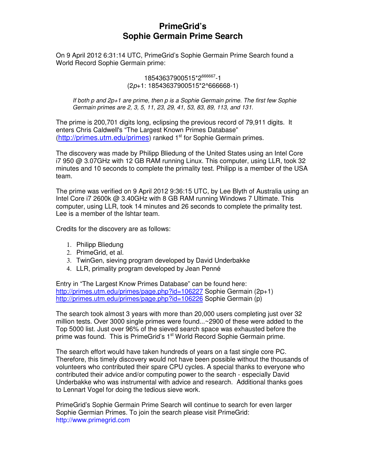# **PrimeGrid's Sophie Germain Prime Search**

On 9 April 2012 6:31:14 UTC, PrimeGrid's Sophie Germain Prime Search found a World Record Sophie Germain prime:

> 18543637900515\*2666667-1 (2p+1: 18543637900515\*2^666668-1)

If both p and 2p+1 are prime, then p is a Sophie Germain prime. The first few Sophie Germain primes are 2, 3, 5, 11, 23, 29, 41, 53, 83, 89, 113, and 131.

The prime is 200,701 digits long, eclipsing the previous record of 79,911 digits. It enters Chris Caldwell's "The Largest Known Primes Database"  $\frac{a}{b}$  (http://primes.utm.edu/primes) ranked 1<sup>st</sup> for Sophie Germain primes.

The discovery was made by Philipp Bliedung of the United States using an Intel Core i7 950 @ 3.07GHz with 12 GB RAM running Linux. This computer, using LLR, took 32 minutes and 10 seconds to complete the primality test. Philipp is a member of the USA team.

The prime was verified on 9 April 2012 9:36:15 UTC, by Lee Blyth of Australia using an Intel Core i7 2600k @ 3.40GHz with 8 GB RAM running Windows 7 Ultimate. This computer, using LLR, took 14 minutes and 26 seconds to complete the primality test. Lee is a member of the Ishtar team.

Credits for the discovery are as follows:

- 1. Philipp Bliedung
- 2. PrimeGrid, et al.
- 3. TwinGen, sieving program developed by David Underbakke
- 4. LLR, primality program developed by Jean Penné

Entry in "The Largest Know Primes Database" can be found here: http://primes.utm.edu/primes/page.php?id=106227 Sophie Germain (2p+1) http://primes.utm.edu/primes/page.php?id=106226 Sophie Germain (p)

The search took almost 3 years with more than 20,000 users completing just over 32 million tests. Over 3000 single primes were found...~2900 of these were added to the Top 5000 list. Just over 96% of the sieved search space was exhausted before the prime was found. This is PrimeGrid's 1<sup>st</sup> World Record Sophie Germain prime.

The search effort would have taken hundreds of years on a fast single core PC. Therefore, this timely discovery would not have been possible without the thousands of volunteers who contributed their spare CPU cycles. A special thanks to everyone who contributed their advice and/or computing power to the search - especially David Underbakke who was instrumental with advice and research. Additional thanks goes to Lennart Vogel for doing the tedious sieve work.

PrimeGrid's Sophie Germain Prime Search will continue to search for even larger Sophie Germian Primes. To join the search please visit PrimeGrid: http://www.primegrid.com